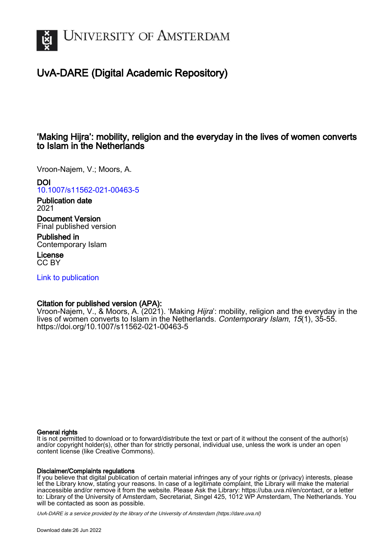

# UvA-DARE (Digital Academic Repository)

## 'Making Hijra': mobility, religion and the everyday in the lives of women converts to Islam in the Netherlands

Vroon‑Najem, V.; Moors, A.

DOI

[10.1007/s11562-021-00463-5](https://doi.org/10.1007/s11562-021-00463-5)

Publication date 2021

Document Version Final published version

Published in Contemporary Islam

License CC BY

[Link to publication](https://dare.uva.nl/personal/pure/en/publications/making-hijra-mobility-religion-and-the-everyday-in-the-lives-of-women-converts-to-islam-in-the-netherlands(1842cb7c-be11-4a49-808a-876927c189d5).html)

## Citation for published version (APA):

Vroon-Najem, V., & Moors, A. (2021). 'Making Hijra': mobility, religion and the everyday in the lives of women converts to Islam in the Netherlands. Contemporary Islam, 15(1), 35-55. <https://doi.org/10.1007/s11562-021-00463-5>

## General rights

It is not permitted to download or to forward/distribute the text or part of it without the consent of the author(s) and/or copyright holder(s), other than for strictly personal, individual use, unless the work is under an open content license (like Creative Commons).

## Disclaimer/Complaints regulations

If you believe that digital publication of certain material infringes any of your rights or (privacy) interests, please let the Library know, stating your reasons. In case of a legitimate complaint, the Library will make the material inaccessible and/or remove it from the website. Please Ask the Library: https://uba.uva.nl/en/contact, or a letter to: Library of the University of Amsterdam, Secretariat, Singel 425, 1012 WP Amsterdam, The Netherlands. You will be contacted as soon as possible.

UvA-DARE is a service provided by the library of the University of Amsterdam (http*s*://dare.uva.nl)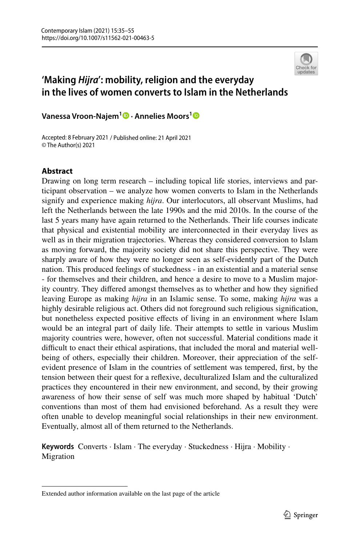

## **'Making** *Hijra***': mobility, religion and the everyday in the lives of women converts to Islam in the Netherlands**

**Vanessa Vroon‑Najem1  [·](http://orcid.org/0000-0001-7032-3823) Annelies Moors[1](http://orcid.org/0000-0001-6372-5736)**

Accepted: 8 February 2021 / Published online: 21 April 2021 © The Author(s) 2021

## **Abstract**

Drawing on long term research – including topical life stories, interviews and participant observation – we analyze how women converts to Islam in the Netherlands signify and experience making *hijra*. Our interlocutors, all observant Muslims, had left the Netherlands between the late 1990s and the mid 2010s. In the course of the last 5 years many have again returned to the Netherlands. Their life courses indicate that physical and existential mobility are interconnected in their everyday lives as well as in their migration trajectories. Whereas they considered conversion to Islam as moving forward, the majority society did not share this perspective. They were sharply aware of how they were no longer seen as self-evidently part of the Dutch nation. This produced feelings of stuckedness - in an existential and a material sense - for themselves and their children, and hence a desire to move to a Muslim majority country. They difered amongst themselves as to whether and how they signifed leaving Europe as making *hijra* in an Islamic sense. To some, making *hijra* was a highly desirable religious act. Others did not foreground such religious signifcation, but nonetheless expected positive efects of living in an environment where Islam would be an integral part of daily life. Their attempts to settle in various Muslim majority countries were, however, often not successful. Material conditions made it difficult to enact their ethical aspirations, that included the moral and material wellbeing of others, especially their children. Moreover, their appreciation of the selfevident presence of Islam in the countries of settlement was tempered, frst, by the tension between their quest for a refexive, deculturalized Islam and the culturalized practices they encountered in their new environment, and second, by their growing awareness of how their sense of self was much more shaped by habitual 'Dutch' conventions than most of them had envisioned beforehand. As a result they were often unable to develop meaningful social relationships in their new environment. Eventually, almost all of them returned to the Netherlands.

**Keywords** Converts · Islam · The everyday · Stuckedness · Hijra · Mobility · Migration

Extended author information available on the last page of the article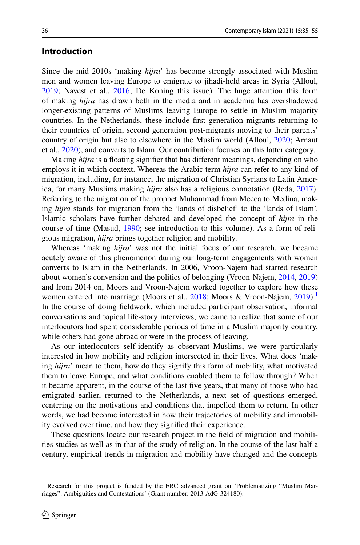#### **Introduction**

Since the mid 2010s 'making *hijra*' has become strongly associated with Muslim men and women leaving Europe to emigrate to jihadi-held areas in Syria (Alloul, [2019](#page-20-0); Navest et al., [2016;](#page-21-0) De Koning this issue). The huge attention this form of making *hijra* has drawn both in the media and in academia has overshadowed longer-existing patterns of Muslims leaving Europe to settle in Muslim majority countries. In the Netherlands, these include frst generation migrants returning to their countries of origin, second generation post-migrants moving to their parents' country of origin but also to elsewhere in the Muslim world (Alloul, [2020](#page-20-1); Arnaut et al., [2020](#page-20-2)), and converts to Islam. Our contribution focuses on this latter category.

Making *hijra* is a foating signifer that has diferent meanings, depending on who employs it in which context. Whereas the Arabic term *hijra* can refer to any kind of migration, including, for instance, the migration of Christian Syrians to Latin America, for many Muslims making *hijra* also has a religious connotation (Reda, [2017\)](#page-21-1). Referring to the migration of the prophet Muhammad from Mecca to Medina, making *hijra* stands for migration from the 'lands of disbelief' to the 'lands of Islam'. Islamic scholars have further debated and developed the concept of *hijra* in the course of time (Masud, [1990;](#page-20-3) see introduction to this volume). As a form of religious migration, *hijra* brings together religion and mobility.

Whereas 'making *hijra*' was not the initial focus of our research, we became acutely aware of this phenomenon during our long-term engagements with women converts to Islam in the Netherlands. In 2006, Vroon-Najem had started research about women's conversion and the politics of belonging (Vroon-Najem, [2014](#page-21-2), [2019](#page-21-3)) and from 2014 on, Moors and Vroon-Najem worked together to explore how these women entered into marriage (Moors et al., [2018](#page-20-4); Moors & Vroon-Najem,  $2019$  $2019$  $2019$ ).<sup>1</sup> In the course of doing feldwork, which included participant observation, informal conversations and topical life-story interviews, we came to realize that some of our interlocutors had spent considerable periods of time in a Muslim majority country, while others had gone abroad or were in the process of leaving.

As our interlocutors self-identify as observant Muslims, we were particularly interested in how mobility and religion intersected in their lives. What does 'making *hijra*' mean to them, how do they signify this form of mobility, what motivated them to leave Europe, and what conditions enabled them to follow through? When it became apparent, in the course of the last fve years, that many of those who had emigrated earlier, returned to the Netherlands, a next set of questions emerged, centering on the motivations and conditions that impelled them to return. In other words, we had become interested in how their trajectories of mobility and immobility evolved over time, and how they signifed their experience.

These questions locate our research project in the feld of migration and mobilities studies as well as in that of the study of religion. In the course of the last half a century, empirical trends in migration and mobility have changed and the concepts

<span id="page-2-0"></span><sup>&</sup>lt;sup>1</sup> Research for this project is funded by the ERC advanced grant on 'Problematizing "Muslim Marriages": Ambiguities and Contestations' (Grant number: 2013-AdG-324180).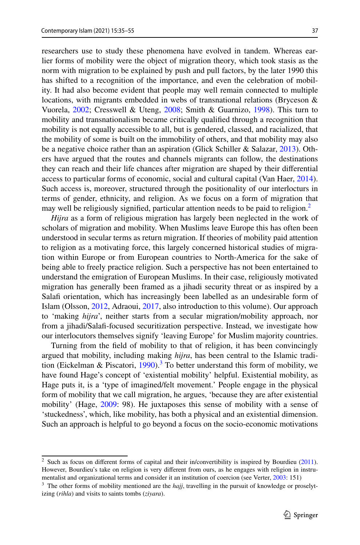researchers use to study these phenomena have evolved in tandem. Whereas earlier forms of mobility were the object of migration theory, which took stasis as the norm with migration to be explained by push and pull factors, by the later 1990 this has shifted to a recognition of the importance, and even the celebration of mobility. It had also become evident that people may well remain connected to multiple locations, with migrants embedded in webs of transnational relations (Bryceson & Vuorela, [2002;](#page-20-6) Cresswell & Uteng, [2008](#page-20-7); Smith & Guarnizo, [1998\)](#page-21-4). This turn to mobility and transnationalism became critically qualifed through a recognition that mobility is not equally accessible to all, but is gendered, classed, and racialized, that the mobility of some is built on the immobility of others, and that mobility may also be a negative choice rather than an aspiration (Glick Schiller & Salazar, [2013](#page-20-8)). Others have argued that the routes and channels migrants can follow, the destinations they can reach and their life chances after migration are shaped by their diferential access to particular forms of economic, social and cultural capital (Van Haer, [2014\)](#page-21-5). Such access is, moreover, structured through the positionality of our interlocturs in terms of gender, ethnicity, and religion. As we focus on a form of migration that may well be religiously signified, particular attention needs to be paid to religion.<sup>[2](#page-3-0)</sup>

*Hijra* as a form of religious migration has largely been neglected in the work of scholars of migration and mobility. When Muslims leave Europe this has often been understood in secular terms as return migration. If theories of mobility paid attention to religion as a motivating force, this largely concerned historical studies of migration within Europe or from European countries to North-America for the sake of being able to freely practice religion. Such a perspective has not been entertained to understand the emigration of European Muslims. In their case, religiously motivated migration has generally been framed as a jihadi security threat or as inspired by a Salafi orientation, which has increasingly been labelled as an undesirable form of Islam (Olsson, [2012,](#page-21-6) Adraoui, [2017](#page-19-0), also introduction to this volume). Our approach to 'making *hijra*', neither starts from a secular migration/mobility approach, nor from a jihadi/Salaf-focused securitization perspective. Instead, we investigate how our interlocutors themselves signify 'leaving Europe' for Muslim majority countries.

Turning from the feld of mobility to that of religion, it has been convincingly argued that mobility, including making *hijra*, has been central to the Islamic tradition (Eickelman & Piscatori,  $1990$ ).<sup>[3](#page-3-1)</sup> To better understand this form of mobility, we have found Hage's concept of 'existential mobility' helpful. Existential mobility, as Hage puts it, is a 'type of imagined/felt movement.' People engage in the physical form of mobility that we call migration, he argues, 'because they are after existential mobility' (Hage, [2009:](#page-20-10) 98). He juxtaposes this sense of mobility with a sense of 'stuckedness', which, like mobility, has both a physical and an existential dimension. Such an approach is helpful to go beyond a focus on the socio-economic motivations

<span id="page-3-0"></span> $2$  Such as focus on different forms of capital and their in/convertibility is inspired by Bourdieu ([2011\)](#page-20-11). However, Bourdieu's take on religion is very diferent from ours, as he engages with religion in instrumentalist and organizational terms and consider it an institution of coercion (see Verter, [2003](#page-21-7): 151)

<span id="page-3-1"></span><sup>&</sup>lt;sup>3</sup> The other forms of mobility mentioned are the *hajj*, travelling in the pursuit of knowledge or proselytizing (*rihla*) and visits to saints tombs (*ziyara*).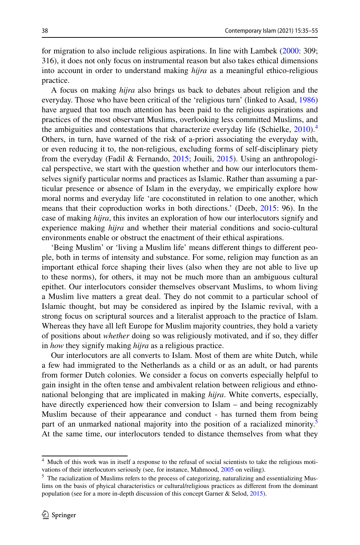for migration to also include religious aspirations. In line with Lambek ([2000:](#page-20-12) 309; 316), it does not only focus on instrumental reason but also takes ethical dimensions into account in order to understand making *hijra* as a meaningful ethico-religious practice.

A focus on making *hijra* also brings us back to debates about religion and the everyday. Those who have been critical of the 'religious turn' (linked to Asad, [1986\)](#page-20-13) have argued that too much attention has been paid to the religious aspirations and practices of the most observant Muslims, overlooking less committed Muslims, and the ambiguities and contestations that characterize everyday life (Schielke,  $2010$ ).<sup>[4](#page-4-0)</sup> Others, in turn, have warned of the risk of a-priori associating the everyday with, or even reducing it to, the non-religious, excluding forms of self-disciplinary piety from the everyday (Fadil & Fernando, [2015;](#page-20-14) Jouili, [2015\)](#page-20-15). Using an anthropological perspective, we start with the question whether and how our interlocutors themselves signify particular norms and practices as Islamic. Rather than assuming a particular presence or absence of Islam in the everyday, we empirically explore how moral norms and everyday life 'are coconstituted in relation to one another, which means that their coproduction works in both directions.' (Deeb, [2015:](#page-20-16) 96). In the case of making *hijra*, this invites an exploration of how our interlocutors signify and experience making *hijra* and whether their material conditions and socio-cultural environments enable or obstruct the enactment of their ethical aspirations.

'Being Muslim' or 'living a Muslim life' means diferent things to diferent people, both in terms of intensity and substance. For some, religion may function as an important ethical force shaping their lives (also when they are not able to live up to these norms), for others, it may not be much more than an ambiguous cultural epithet. Our interlocutors consider themselves observant Muslims, to whom living a Muslim live matters a great deal. They do not commit to a particular school of Islamic thought, but may be considered as inpired by the Islamic revival, with a strong focus on scriptural sources and a literalist approach to the practice of Islam. Whereas they have all left Europe for Muslim majority countries, they hold a variety of positions about *whether* doing so was religiously motivated, and if so, they difer in *how* they signify making *hijra* as a religious practice.

Our interlocutors are all converts to Islam. Most of them are white Dutch, while a few had immigrated to the Netherlands as a child or as an adult, or had parents from former Dutch colonies. We consider a focus on converts especially helpful to gain insight in the often tense and ambivalent relation between religious and ethnonational belonging that are implicated in making *hijra*. White converts, especially, have directly experienced how their conversion to Islam – and being recognizably Muslim because of their appearance and conduct - has turned them from being part of an unmarked national majority into the position of a racialized minority.<sup>[5](#page-4-1)</sup> At the same time, our interlocutors tended to distance themselves from what they

<span id="page-4-0"></span><sup>&</sup>lt;sup>4</sup> Much of this work was in itself a response to the refusal of social scientists to take the religious motivations of their interlocutors seriously (see, for instance, Mahmood, [2005](#page-20-18) on veiling).

<span id="page-4-1"></span><sup>&</sup>lt;sup>5</sup> The racialization of Muslims refers to the process of categorizing, naturalizing and essentializing Muslims on the basis of phyical characteristics or cultural/religious practices as diferent from the dominant population (see for a more in-depth discussion of this concept Garner & Selod, [2015](#page-20-17)).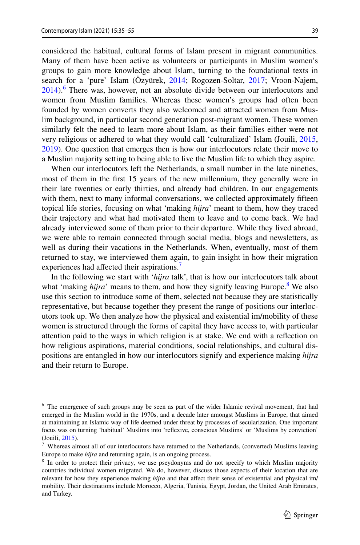considered the habitual, cultural forms of Islam present in migrant communities. Many of them have been active as volunteers or participants in Muslim women's groups to gain more knowledge about Islam, turning to the foundational texts in search for a 'pure' Islam (Özyürek, [2014;](#page-21-9) Rogozen-Soltar, [2017;](#page-21-10) Vroon-Najem,  $2014$ <sup>[6](#page-5-0)</sup>. There was, however, not an absolute divide between our interlocutors and women from Muslim families. Whereas these women's groups had often been founded by women converts they also welcomed and attracted women from Muslim background, in particular second generation post-migrant women. These women similarly felt the need to learn more about Islam, as their families either were not very religious or adhered to what they would call 'culturalized' Islam (Jouili, [2015,](#page-20-15) [2019](#page-20-19)). One question that emerges then is how our interlocutors relate their move to a Muslim majority setting to being able to live the Muslim life to which they aspire.

When our interlocutors left the Netherlands, a small number in the late nineties, most of them in the frst 15 years of the new millennium, they generally were in their late twenties or early thirties, and already had children. In our engagements with them, next to many informal conversations, we collected approximately fifteen topical life stories, focusing on what 'making *hijra*' meant to them, how they traced their trajectory and what had motivated them to leave and to come back. We had already interviewed some of them prior to their departure. While they lived abroad, we were able to remain connected through social media, blogs and newsletters, as well as during their vacations in the Netherlands. When, eventually, most of them returned to stay, we interviewed them again, to gain insight in how their migration experiences had affected their aspirations.<sup>7</sup>

In the following we start with '*hijra* talk', that is how our interlocutors talk about what 'making *hijra*' means to them, and how they signify leaving Europe.<sup>[8](#page-5-2)</sup> We also use this section to introduce some of them, selected not because they are statistically representative, but because together they present the range of positions our interlocutors took up. We then analyze how the physical and existential im/mobility of these women is structured through the forms of capital they have access to, with particular attention paid to the ways in which religion is at stake. We end with a refection on how religious aspirations, material conditions, social relationships, and cultural dispositions are entangled in how our interlocutors signify and experience making *hijra* and their return to Europe.

<span id="page-5-0"></span><sup>&</sup>lt;sup>6</sup> The emergence of such groups may be seen as part of the wider Islamic revival movement, that had emerged in the Muslim world in the 1970s, and a decade later amongst Muslims in Europe, that aimed at maintaining an Islamic way of life deemed under threat by processes of secularization. One important focus was on turning 'habitual' Muslims into 'refexive, conscious Muslims' or 'Muslims by conviction' (Jouili, [2015](#page-20-15)).

<span id="page-5-1"></span> $7$  Whereas almost all of our interlocutors have returned to the Netherlands, (converted) Muslims leaving Europe to make *hijra* and returning again, is an ongoing process.

<span id="page-5-2"></span><sup>&</sup>lt;sup>8</sup> In order to protect their privacy, we use pseydonyms and do not specify to which Muslim majority countries individual women migrated. We do, however, discuss those aspects of their location that are relevant for how they experience making *hijra* and that affect their sense of existential and physical im/ mobility. Their destinations include Morocco, Algeria, Tunisia, Egypt, Jordan, the United Arab Emirates, and Turkey.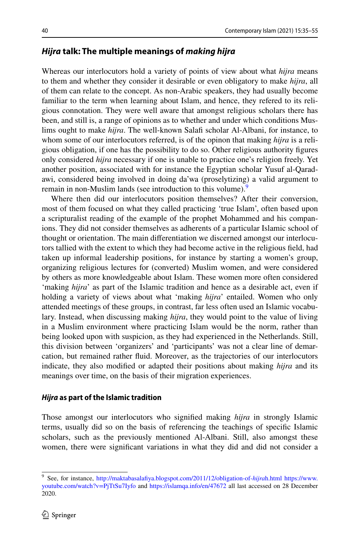### *Hijra* **talk: The multiple meanings of** *making hijra*

Whereas our interlocutors hold a variety of points of view about what *hijra* means to them and whether they consider it desirable or even obligatory to make *hijra*, all of them can relate to the concept. As non-Arabic speakers, they had usually become familiar to the term when learning about Islam, and hence, they refered to its religious connotation. They were well aware that amongst religious scholars there has been, and still is, a range of opinions as to whether and under which conditions Muslims ought to make *hijra*. The well-known Salaf scholar Al-Albani, for instance, to whom some of our interlocutors referred, is of the opinon that making *hijra* is a religious obligation, if one has the possibility to do so. Other religious authority fgures only considered *hijra* necessary if one is unable to practice one's religion freely. Yet another position, associated with for instance the Egyptian scholar Yusuf al-Qaradawi, considered being involved in doing da'wa (proselytizing) a valid argument to remain in non-Muslim lands (see introduction to this volume).

Where then did our interlocutors position themselves? After their conversion, most of them focused on what they called practicing 'true Islam', often based upon a scripturalist reading of the example of the prophet Mohammed and his companions. They did not consider themselves as adherents of a particular Islamic school of thought or orientation. The main diferentiation we discerned amongst our interlocutors tallied with the extent to which they had become active in the religious feld, had taken up informal leadership positions, for instance by starting a women's group, organizing religious lectures for (converted) Muslim women, and were considered by others as more knowledgeable about Islam. These women more often considered 'making *hijra*' as part of the Islamic tradition and hence as a desirable act, even if holding a variety of views about what 'making *hijra*' entailed. Women who only attended meetings of these groups, in contrast, far less often used an Islamic vocabulary. Instead, when discussing making *hijra*, they would point to the value of living in a Muslim environment where practicing Islam would be the norm, rather than being looked upon with suspicion, as they had experienced in the Netherlands. Still, this division between 'organizers' and 'participants' was not a clear line of demarcation, but remained rather fuid. Moreover, as the trajectories of our interlocutors indicate, they also modifed or adapted their positions about making *hijra* and its meanings over time, on the basis of their migration experiences.

#### *Hijra* **as part of the Islamic tradition**

Those amongst our interlocutors who signifed making *hijra* in strongly Islamic terms, usually did so on the basis of referencing the teachings of specifc Islamic scholars, such as the previously mentioned Al-Albani. Still, also amongst these women, there were signifcant variations in what they did and did not consider a

<span id="page-6-0"></span><sup>9</sup> See, for instance, [http://maktabasalafya.blogspot.com/2011/12/obligation-of-](http://maktabasalafiya.blogspot.com/2011/12/obligation-of-hijrah.html)*hijra*h.html [https://www.](https://www.youtube.com/watch?v=PjTtSu7Iyfo) [youtube.com/watch?v=PjTtSu7Iyfo](https://www.youtube.com/watch?v=PjTtSu7Iyfo) and <https://islamqa.info/en/47672> all last accessed on 28 December 2020.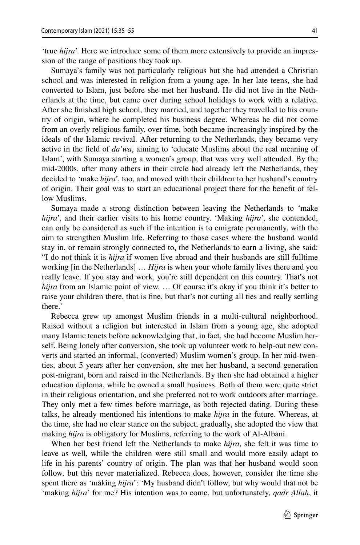'true *hijra*'. Here we introduce some of them more extensively to provide an impression of the range of positions they took up.

Sumaya's family was not particularly religious but she had attended a Christian school and was interested in religion from a young age. In her late teens, she had converted to Islam, just before she met her husband. He did not live in the Netherlands at the time, but came over during school holidays to work with a relative. After she fnished high school, they married, and together they travelled to his country of origin, where he completed his business degree. Whereas he did not come from an overly religious family, over time, both became increasingly inspired by the ideals of the Islamic revival. After returning to the Netherlands, they became very active in the feld of *da'wa*, aiming to 'educate Muslims about the real meaning of Islam', with Sumaya starting a women's group, that was very well attended. By the mid-2000s, after many others in their circle had already left the Netherlands, they decided to 'make *hijra*', too, and moved with their children to her husband's country of origin. Their goal was to start an educational project there for the beneft of fellow Muslims.

Sumaya made a strong distinction between leaving the Netherlands to 'make *hijra*', and their earlier visits to his home country. 'Making *hijra*', she contended, can only be considered as such if the intention is to emigrate permanently, with the aim to strengthen Muslim life. Referring to those cases where the husband would stay in, or remain strongly connected to, the Netherlands to earn a living, she said: "I do not think it is *hijra* if women live abroad and their husbands are still fulltime working [in the Netherlands] … *Hijra* is when your whole family lives there and you really leave. If you stay and work, you're still dependent on this country. That's not *hijra* from an Islamic point of view. ... Of course it's okay if you think it's better to raise your children there, that is fne, but that's not cutting all ties and really settling there.'

Rebecca grew up amongst Muslim friends in a multi-cultural neighborhood. Raised without a religion but interested in Islam from a young age, she adopted many Islamic tenets before acknowledging that, in fact, she had become Muslim herself. Being lonely after conversion, she took up volunteer work to help-out new converts and started an informal, (converted) Muslim women's group. In her mid-twenties, about 5 years after her conversion, she met her husband, a second generation post-migrant, born and raised in the Netherlands. By then she had obtained a higher education diploma, while he owned a small business. Both of them were quite strict in their religious orientation, and she preferred not to work outdoors after marriage. They only met a few times before marriage, as both rejected dating. During these talks, he already mentioned his intentions to make *hijra* in the future. Whereas, at the time, she had no clear stance on the subject, gradually, she adopted the view that making *hijra* is obligatory for Muslims, referring to the work of Al-Albani.

When her best friend left the Netherlands to make *hijra*, she felt it was time to leave as well, while the children were still small and would more easily adapt to life in his parents' country of origin. The plan was that her husband would soon follow, but this never materialized. Rebecca does, however, consider the time she spent there as 'making *hijra*': 'My husband didn't follow, but why would that not be 'making *hijra*' for me? His intention was to come, but unfortunately, *qadr Allah*, it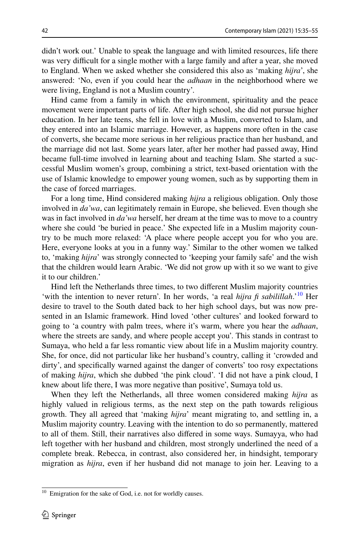didn't work out.' Unable to speak the language and with limited resources, life there was very difficult for a single mother with a large family and after a year, she moved to England. When we asked whether she considered this also as 'making *hijra*', she answered: 'No, even if you could hear the *adhaan* in the neighborhood where we were living, England is not a Muslim country'.

Hind came from a family in which the environment, spirituality and the peace movement were important parts of life. After high school, she did not pursue higher education. In her late teens, she fell in love with a Muslim, converted to Islam, and they entered into an Islamic marriage. However, as happens more often in the case of converts, she became more serious in her religious practice than her husband, and the marriage did not last. Some years later, after her mother had passed away, Hind became full-time involved in learning about and teaching Islam. She started a successful Muslim women's group, combining a strict, text-based orientation with the use of Islamic knowledge to empower young women, such as by supporting them in the case of forced marriages.

For a long time, Hind considered making *hijra* a religious obligation. Only those involved in *da'wa*, can legitimately remain in Europe, she believed. Even though she was in fact involved in *da'wa* herself, her dream at the time was to move to a country where she could 'be buried in peace.' She expected life in a Muslim majority country to be much more relaxed: 'A place where people accept you for who you are. Here, everyone looks at you in a funny way.' Similar to the other women we talked to, 'making *hijra*' was strongly connected to 'keeping your family safe' and the wish that the children would learn Arabic. 'We did not grow up with it so we want to give it to our children.'

Hind left the Netherlands three times, to two diferent Muslim majority countries 'with the intention to never return'. In her words, 'a real *hijra fi sabilillah*.'<sup>10</sup> Her desire to travel to the South dated back to her high school days, but was now presented in an Islamic framework. Hind loved 'other cultures' and looked forward to going to 'a country with palm trees, where it's warm, where you hear the *adhaan*, where the streets are sandy, and where people accept you'. This stands in contrast to Sumaya, who held a far less romantic view about life in a Muslim majority country. She, for once, did not particular like her husband's country, calling it 'crowded and dirty', and specifcally warned against the danger of converts' too rosy expectations of making *hijra*, which she dubbed 'the pink cloud'. 'I did not have a pink cloud, I knew about life there, I was more negative than positive', Sumaya told us.

When they left the Netherlands, all three women considered making *hijra* as highly valued in religious terms, as the next step on the path towards religious growth. They all agreed that 'making *hijra*' meant migrating to, and settling in, a Muslim majority country. Leaving with the intention to do so permanently, mattered to all of them. Still, their narratives also difered in some ways. Sumayya, who had left together with her husband and children, most strongly underlined the need of a complete break. Rebecca, in contrast, also considered her, in hindsight, temporary migration as *hijra*, even if her husband did not manage to join her. Leaving to a

<span id="page-8-0"></span><sup>&</sup>lt;sup>10</sup> Emigration for the sake of God, i.e. not for worldly causes.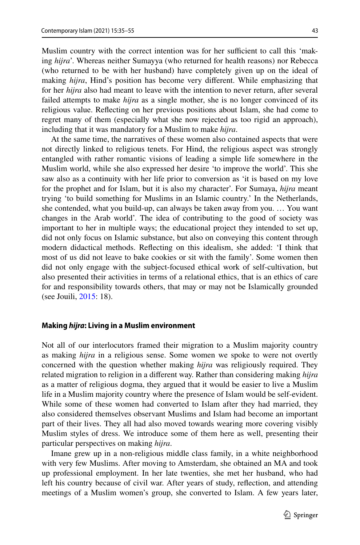Muslim country with the correct intention was for her sufficient to call this 'making *hijra*'. Whereas neither Sumayya (who returned for health reasons) nor Rebecca (who returned to be with her husband) have completely given up on the ideal of making *hijra*, Hind's position has become very diferent. While emphasizing that for her *hijra* also had meant to leave with the intention to never return, after several failed attempts to make *hijra* as a single mother, she is no longer convinced of its religious value. Refecting on her previous positions about Islam, she had come to regret many of them (especially what she now rejected as too rigid an approach), including that it was mandatory for a Muslim to make *hijra*.

At the same time, the narratives of these women also contained aspects that were not directly linked to religious tenets. For Hind, the religious aspect was strongly entangled with rather romantic visions of leading a simple life somewhere in the Muslim world, while she also expressed her desire 'to improve the world'. This she saw also as a continuity with her life prior to conversion as 'it is based on my love for the prophet and for Islam, but it is also my character'. For Sumaya, *hijra* meant trying 'to build something for Muslims in an Islamic country.' In the Netherlands, she contended, what you build-up, can always be taken away from you. … You want changes in the Arab world'. The idea of contributing to the good of society was important to her in multiple ways; the educational project they intended to set up, did not only focus on Islamic substance, but also on conveying this content through modern didactical methods. Refecting on this idealism, she added: 'I think that most of us did not leave to bake cookies or sit with the family'. Some women then did not only engage with the subject-focused ethical work of self-cultivation, but also presented their activities in terms of a relational ethics, that is an ethics of care for and responsibility towards others, that may or may not be Islamically grounded (see Jouili, [2015:](#page-20-15) 18).

#### **Making** *hijra***: Living in a Muslim environment**

Not all of our interlocutors framed their migration to a Muslim majority country as making *hijra* in a religious sense. Some women we spoke to were not overtly concerned with the question whether making *hijra* was religiously required. They related migration to religion in a diferent way. Rather than considering making *hijra* as a matter of religious dogma, they argued that it would be easier to live a Muslim life in a Muslim majority country where the presence of Islam would be self-evident. While some of these women had converted to Islam after they had married, they also considered themselves observant Muslims and Islam had become an important part of their lives. They all had also moved towards wearing more covering visibly Muslim styles of dress. We introduce some of them here as well, presenting their particular perspectives on making *hijra*.

Imane grew up in a non-religious middle class family, in a white neighborhood with very few Muslims. After moving to Amsterdam, she obtained an MA and took up professional employment. In her late twenties, she met her husband, who had left his country because of civil war. After years of study, refection, and attending meetings of a Muslim women's group, she converted to Islam. A few years later,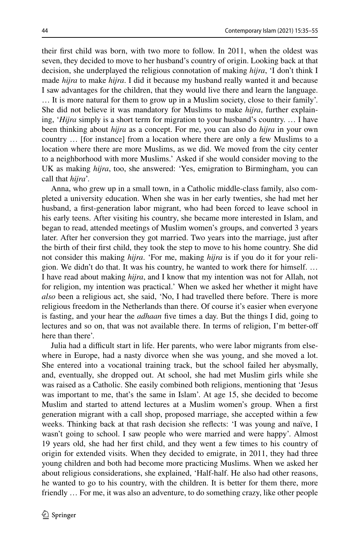their frst child was born, with two more to follow. In 2011, when the oldest was seven, they decided to move to her husband's country of origin. Looking back at that decision, she underplayed the religious connotation of making *hijra*, 'I don't think I made *hijra* to make *hijra*. I did it because my husband really wanted it and because I saw advantages for the children, that they would live there and learn the language. … It is more natural for them to grow up in a Muslim society, close to their family'. She did not believe it was mandatory for Muslims to make *hijra*, further explaining, '*Hijra* simply is a short term for migration to your husband's country. … I have been thinking about *hijra* as a concept. For me, you can also do *hijra* in your own country … [for instance] from a location where there are only a few Muslims to a location where there are more Muslims, as we did. We moved from the city center to a neighborhood with more Muslims.' Asked if she would consider moving to the UK as making *hijra*, too, she answered: 'Yes, emigration to Birmingham, you can call that *hijra*'.

Anna, who grew up in a small town, in a Catholic middle-class family, also completed a university education. When she was in her early twenties, she had met her husband, a frst-generation labor migrant, who had been forced to leave school in his early teens. After visiting his country, she became more interested in Islam, and began to read, attended meetings of Muslim women's groups, and converted 3 years later. After her conversion they got married. Two years into the marriage, just after the birth of their frst child, they took the step to move to his home country. She did not consider this making *hijra*. 'For me, making *hijra* is if you do it for your religion. We didn't do that. It was his country, he wanted to work there for himself. … I have read about making *hijra*, and I know that my intention was not for Allah, not for religion, my intention was practical.' When we asked her whether it might have *also* been a religious act, she said, 'No, I had travelled there before. There is more religious freedom in the Netherlands than there. Of course it's easier when everyone is fasting, and your hear the *adhaan* fve times a day. But the things I did, going to lectures and so on, that was not available there. In terms of religion, I'm better-of here than there'.

Julia had a difcult start in life. Her parents, who were labor migrants from elsewhere in Europe, had a nasty divorce when she was young, and she moved a lot. She entered into a vocational training track, but the school failed her abysmally, and, eventually, she dropped out. At school, she had met Muslim girls while she was raised as a Catholic. She easily combined both religions, mentioning that 'Jesus was important to me, that's the same in Islam'. At age 15, she decided to become Muslim and started to attend lectures at a Muslim women's group. When a frst generation migrant with a call shop, proposed marriage, she accepted within a few weeks. Thinking back at that rash decision she refects: 'I was young and naïve, I wasn't going to school. I saw people who were married and were happy'. Almost 19 years old, she had her frst child, and they went a few times to his country of origin for extended visits. When they decided to emigrate, in 2011, they had three young children and both had become more practicing Muslims. When we asked her about religious considerations, she explained, 'Half-half. He also had other reasons, he wanted to go to his country, with the children. It is better for them there, more friendly … For me, it was also an adventure, to do something crazy, like other people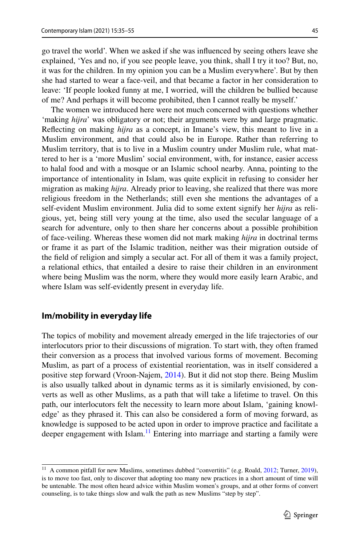go travel the world'. When we asked if she was infuenced by seeing others leave she explained, 'Yes and no, if you see people leave, you think, shall I try it too? But, no, it was for the children. In my opinion you can be a Muslim everywhere'. But by then she had started to wear a face-veil, and that became a factor in her consideration to leave: 'If people looked funny at me, I worried, will the children be bullied because of me? And perhaps it will become prohibited, then I cannot really be myself.'

The women we introduced here were not much concerned with questions whether 'making *hijra*' was obligatory or not; their arguments were by and large pragmatic. Refecting on making *hijra* as a concept, in Imane's view, this meant to live in a Muslim environment, and that could also be in Europe. Rather than referring to Muslim territory, that is to live in a Muslim country under Muslim rule, what mattered to her is a 'more Muslim' social environment, with, for instance, easier access to halal food and with a mosque or an Islamic school nearby. Anna, pointing to the importance of intentionality in Islam, was quite explicit in refusing to consider her migration as making *hijra*. Already prior to leaving, she realized that there was more religious freedom in the Netherlands; still even she mentions the advantages of a self-evident Muslim environment. Julia did to some extent signify her *hijra* as religious, yet, being still very young at the time, also used the secular language of a search for adventure, only to then share her concerns about a possible prohibition of face-veiling. Whereas these women did not mark making *hijra* in doctrinal terms or frame it as part of the Islamic tradition, neither was their migration outside of the feld of religion and simply a secular act. For all of them it was a family project, a relational ethics, that entailed a desire to raise their children in an environment where being Muslim was the norm, where they would more easily learn Arabic, and where Islam was self-evidently present in everyday life.

### **Im/mobility in everyday life**

The topics of mobility and movement already emerged in the life trajectories of our interlocutors prior to their discussions of migration. To start with, they often framed their conversion as a process that involved various forms of movement. Becoming Muslim, as part of a process of existential reorientation, was in itself considered a positive step forward (Vroon-Najem, [2014](#page-21-2)). But it did not stop there. Being Muslim is also usually talked about in dynamic terms as it is similarly envisioned, by converts as well as other Muslims, as a path that will take a lifetime to travel. On this path, our interlocutors felt the necessity to learn more about Islam, 'gaining knowledge' as they phrased it. This can also be considered a form of moving forward, as knowledge is supposed to be acted upon in order to improve practice and facilitate a deeper engagement with Islam.<sup>[11](#page-11-0)</sup> Entering into marriage and starting a family were

<span id="page-11-0"></span><sup>&</sup>lt;sup>11</sup> A common pitfall for new Muslims, sometimes dubbed "convertitis" (e.g. Roald, [2012;](#page-21-11) Turner, [2019\)](#page-21-12), is to move too fast, only to discover that adopting too many new practices in a short amount of time will be untenable. The most often heard advice within Muslim women's groups, and at other forms of convert counseling, is to take things slow and walk the path as new Muslims "step by step".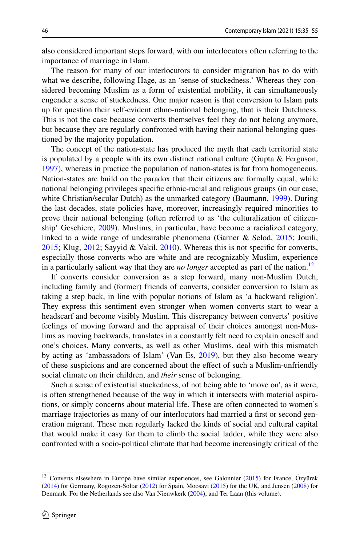also considered important steps forward, with our interlocutors often referring to the importance of marriage in Islam.

The reason for many of our interlocutors to consider migration has to do with what we describe, following Hage, as an 'sense of stuckedness.' Whereas they considered becoming Muslim as a form of existential mobility, it can simultaneously engender a sense of stuckedness. One major reason is that conversion to Islam puts up for question their self-evident ethno-national belonging, that is their Dutchness. This is not the case because converts themselves feel they do not belong anymore, but because they are regularly confronted with having their national belonging questioned by the majority population.

The concept of the nation-state has produced the myth that each territorial state is populated by a people with its own distinct national culture (Gupta  $\&$  Ferguson, [1997](#page-20-20)), whereas in practice the population of nation-states is far from homogeneous. Nation-states are build on the paradox that their citizens are formally equal, while national belonging privileges specifc ethnic-racial and religious groups (in our case, white Christian/secular Dutch) as the unmarked category (Baumann, [1999](#page-20-21)). During the last decades, state policies have, moreover, increasingly required minorities to prove their national belonging (often referred to as 'the culturalization of citizenship' Geschiere, [2009](#page-20-22)). Muslims, in particular, have become a racialized category, linked to a wide range of undesirable phenomena (Garner & Selod, [2015](#page-20-17); Jouili, [2015](#page-20-15); Klug, [2012](#page-20-23); Sayyid & Vakil, [2010\)](#page-21-13). Whereas this is not specifc for converts, especially those converts who are white and are recognizably Muslim, experience in a particularly salient way that they are *no longer* accepted as part of the nation.<sup>12</sup>

If converts consider conversion as a step forward, many non-Muslim Dutch, including family and (former) friends of converts, consider conversion to Islam as taking a step back, in line with popular notions of Islam as 'a backward religion'. They express this sentiment even stronger when women converts start to wear a headscarf and become visibly Muslim. This discrepancy between converts' positive feelings of moving forward and the appraisal of their choices amongst non-Muslims as moving backwards, translates in a constantly felt need to explain oneself and one's choices. Many converts, as well as other Muslims, deal with this mismatch by acting as 'ambassadors of Islam' (Van Es, [2019\)](#page-21-14), but they also become weary of these suspicions and are concerned about the efect of such a Muslim-unfriendly social climate on their children, and *their* sense of belonging.

Such a sense of existential stuckedness, of not being able to 'move on', as it were, is often strengthened because of the way in which it intersects with material aspirations, or simply concerns about material life. These are often connected to women's marriage trajectories as many of our interlocutors had married a frst or second generation migrant. These men regularly lacked the kinds of social and cultural capital that would make it easy for them to climb the social ladder, while they were also confronted with a socio-political climate that had become increasingly critical of the

<span id="page-12-0"></span><sup>12</sup> Converts elsewhere in Europe have similar experiences, see Galonnier ([2015\)](#page-20-24) for France, Özyürek ([2014\)](#page-21-9) for Germany, Rogozen-Soltar ([2012\)](#page-21-15) for Spain, Moosavi ([2015\)](#page-21-16) for the UK, and Jensen ([2008\)](#page-20-25) for Denmark. For the Netherlands see also Van Nieuwkerk ([2004\)](#page-21-17), and Ter Laan (this volume).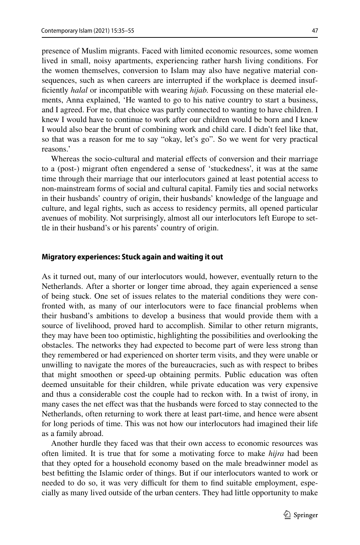presence of Muslim migrants. Faced with limited economic resources, some women lived in small, noisy apartments, experiencing rather harsh living conditions. For the women themselves, conversion to Islam may also have negative material consequences, such as when careers are interrupted if the workplace is deemed insuffciently *halal* or incompatible with wearing *hijab.* Focussing on these material elements, Anna explained, 'He wanted to go to his native country to start a business, and I agreed. For me, that choice was partly connected to wanting to have children. I knew I would have to continue to work after our children would be born and I knew I would also bear the brunt of combining work and child care. I didn't feel like that, so that was a reason for me to say "okay, let's go". So we went for very practical reasons.'

Whereas the socio-cultural and material efects of conversion and their marriage to a (post-) migrant often engendered a sense of 'stuckedness', it was at the same time through their marriage that our interlocutors gained at least potential access to non-mainstream forms of social and cultural capital. Family ties and social networks in their husbands' country of origin, their husbands' knowledge of the language and culture, and legal rights, such as access to residency permits, all opened particular avenues of mobility. Not surprisingly, almost all our interlocutors left Europe to settle in their husband's or his parents' country of origin.

#### **Migratory experiences: Stuck again and waiting it out**

As it turned out, many of our interlocutors would, however, eventually return to the Netherlands. After a shorter or longer time abroad, they again experienced a sense of being stuck. One set of issues relates to the material conditions they were confronted with, as many of our interlocutors were to face fnancial problems when their husband's ambitions to develop a business that would provide them with a source of livelihood, proved hard to accomplish. Similar to other return migrants, they may have been too optimistic, highlighting the possibilities and overlooking the obstacles. The networks they had expected to become part of were less strong than they remembered or had experienced on shorter term visits, and they were unable or unwilling to navigate the mores of the bureaucracies, such as with respect to bribes that might smoothen or speed-up obtaining permits. Public education was often deemed unsuitable for their children, while private education was very expensive and thus a considerable cost the couple had to reckon with. In a twist of irony, in many cases the net efect was that the husbands were forced to stay connected to the Netherlands, often returning to work there at least part-time, and hence were absent for long periods of time. This was not how our interlocutors had imagined their life as a family abroad.

Another hurdle they faced was that their own access to economic resources was often limited. It is true that for some a motivating force to make *hijra* had been that they opted for a household economy based on the male breadwinner model as best beftting the Islamic order of things. But if our interlocutors wanted to work or needed to do so, it was very difficult for them to find suitable employment, especially as many lived outside of the urban centers. They had little opportunity to make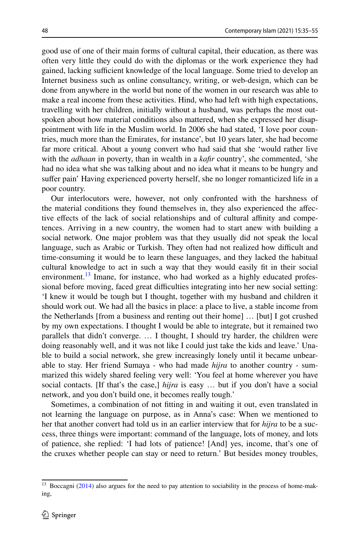good use of one of their main forms of cultural capital, their education, as there was often very little they could do with the diplomas or the work experience they had gained, lacking sufficient knowledge of the local language. Some tried to develop an Internet business such as online consultancy, writing, or web-design, which can be done from anywhere in the world but none of the women in our research was able to make a real income from these activities. Hind, who had left with high expectations, travelling with her children, initially without a husband, was perhaps the most outspoken about how material conditions also mattered, when she expressed her disappointment with life in the Muslim world. In 2006 she had stated, 'I love poor countries, much more than the Emirates, for instance', but 10 years later, she had become far more critical. About a young convert who had said that she 'would rather live with the *adhaan* in poverty, than in wealth in a *kafr* country', she commented, 'she had no idea what she was talking about and no idea what it means to be hungry and sufer pain' Having experienced poverty herself, she no longer romanticized life in a poor country.

Our interlocutors were, however, not only confronted with the harshness of the material conditions they found themselves in, they also experienced the afective effects of the lack of social relationships and of cultural affinity and competences. Arriving in a new country, the women had to start anew with building a social network. One major problem was that they usually did not speak the local language, such as Arabic or Turkish. They often had not realized how difficult and time-consuming it would be to learn these languages, and they lacked the habitual cultural knowledge to act in such a way that they would easily ft in their social environment.<sup>13</sup> Imane, for instance, who had worked as a highly educated professional before moving, faced great difficulties integrating into her new social setting: 'I knew it would be tough but I thought, together with my husband and children it should work out. We had all the basics in place: a place to live, a stable income from the Netherlands [from a business and renting out their home] … [but] I got crushed by my own expectations. I thought I would be able to integrate, but it remained two parallels that didn't converge. … I thought, I should try harder, the children were doing reasonably well, and it was not like I could just take the kids and leave.' Unable to build a social network, she grew increasingly lonely until it became unbearable to stay. Her friend Sumaya - who had made *hijra* to another country - summarized this widely shared feeling very well: 'You feel at home wherever you have social contacts. [If that's the case,] *hijra* is easy … but if you don't have a social network, and you don't build one, it becomes really tough.'

Sometimes, a combination of not ftting in and waiting it out, even translated in not learning the language on purpose, as in Anna's case: When we mentioned to her that another convert had told us in an earlier interview that for *hijra* to be a success, three things were important: command of the language, lots of money, and lots of patience, she replied: 'I had lots of patience! [And] yes, income, that's one of the cruxes whether people can stay or need to return.' But besides money troubles,

<span id="page-14-0"></span><sup>&</sup>lt;sup>13</sup> Boccagni [\(2014](#page-20-26)) also argues for the need to pay attention to sociability in the process of home-making,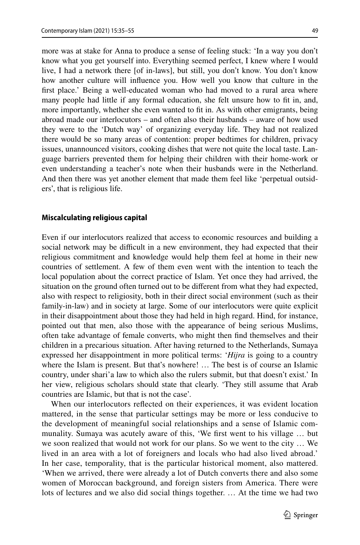more was at stake for Anna to produce a sense of feeling stuck: 'In a way you don't know what you get yourself into. Everything seemed perfect, I knew where I would live, I had a network there [of in-laws], but still, you don't know. You don't know how another culture will infuence you. How well you know that culture in the frst place.' Being a well-educated woman who had moved to a rural area where many people had little if any formal education, she felt unsure how to ft in, and, more importantly, whether she even wanted to ft in. As with other emigrants, being abroad made our interlocutors – and often also their husbands – aware of how used they were to the 'Dutch way' of organizing everyday life. They had not realized there would be so many areas of contention: proper bedtimes for children, privacy issues, unannounced visitors, cooking dishes that were not quite the local taste. Language barriers prevented them for helping their children with their home-work or even understanding a teacher's note when their husbands were in the Netherland. And then there was yet another element that made them feel like 'perpetual outsiders', that is religious life.

#### **Miscalculating religious capital**

Even if our interlocutors realized that access to economic resources and building a social network may be difficult in a new environment, they had expected that their religious commitment and knowledge would help them feel at home in their new countries of settlement. A few of them even went with the intention to teach the local population about the correct practice of Islam. Yet once they had arrived, the situation on the ground often turned out to be diferent from what they had expected, also with respect to religiosity, both in their direct social environment (such as their family-in-law) and in society at large. Some of our interlocutors were quite explicit in their disappointment about those they had held in high regard. Hind, for instance, pointed out that men, also those with the appearance of being serious Muslims, often take advantage of female converts, who might then fnd themselves and their children in a precarious situation. After having returned to the Netherlands, Sumaya expressed her disappointment in more political terms: '*Hijra* is going to a country where the Islam is present. But that's nowhere! … The best is of course an Islamic country, under shari'a law to which also the rulers submit, but that doesn't exist.' In her view, religious scholars should state that clearly. 'They still assume that Arab countries are Islamic, but that is not the case'.

When our interlocutors refected on their experiences, it was evident location mattered, in the sense that particular settings may be more or less conducive to the development of meaningful social relationships and a sense of Islamic communality. Sumaya was acutely aware of this, 'We frst went to his village … but we soon realized that would not work for our plans. So we went to the city … We lived in an area with a lot of foreigners and locals who had also lived abroad.' In her case, temporality, that is the particular historical moment, also mattered. 'When we arrived, there were already a lot of Dutch converts there and also some women of Moroccan background, and foreign sisters from America. There were lots of lectures and we also did social things together. … At the time we had two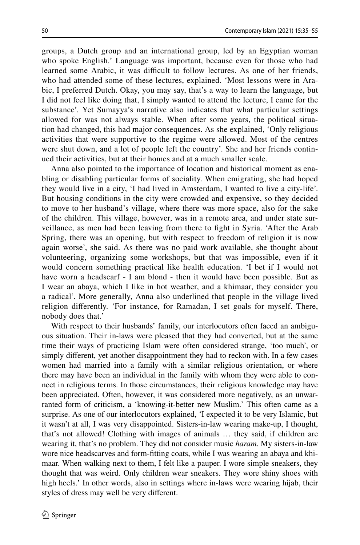groups, a Dutch group and an international group, led by an Egyptian woman who spoke English.' Language was important, because even for those who had learned some Arabic, it was difficult to follow lectures. As one of her friends, who had attended some of these lectures, explained. 'Most lessons were in Arabic, I preferred Dutch. Okay, you may say, that's a way to learn the language, but I did not feel like doing that, I simply wanted to attend the lecture, I came for the substance'. Yet Sumayya's narrative also indicates that what particular settings allowed for was not always stable. When after some years, the political situation had changed, this had major consequences. As she explained, 'Only religious activities that were supportive to the regime were allowed. Most of the centres were shut down, and a lot of people left the country'. She and her friends continued their activities, but at their homes and at a much smaller scale.

Anna also pointed to the importance of location and historical moment as enabling or disabling particular forms of sociality. When emigrating, she had hoped they would live in a city, 'I had lived in Amsterdam, I wanted to live a city-life'. But housing conditions in the city were crowded and expensive, so they decided to move to her husband's village, where there was more space, also for the sake of the children. This village, however, was in a remote area, and under state surveillance, as men had been leaving from there to fght in Syria. 'After the Arab Spring, there was an opening, but with respect to freedom of religion it is now again worse', she said. As there was no paid work available, she thought about volunteering, organizing some workshops, but that was impossible, even if it would concern something practical like health education. 'I bet if I would not have worn a headscarf - I am blond - then it would have been possible. But as I wear an abaya, which I like in hot weather, and a khimaar, they consider you a radical'. More generally, Anna also underlined that people in the village lived religion diferently. 'For instance, for Ramadan, I set goals for myself. There, nobody does that.'

With respect to their husbands' family, our interlocutors often faced an ambiguous situation. Their in-laws were pleased that they had converted, but at the same time their ways of practicing Islam were often considered strange, 'too much', or simply diferent, yet another disappointment they had to reckon with. In a few cases women had married into a family with a similar religious orientation, or where there may have been an individual in the family with whom they were able to connect in religious terms. In those circumstances, their religious knowledge may have been appreciated. Often, however, it was considered more negatively, as an unwarranted form of criticism, a 'knowing-it-better new Muslim.' This often came as a surprise. As one of our interlocutors explained, 'I expected it to be very Islamic, but it wasn't at all, I was very disappointed. Sisters-in-law wearing make-up, I thought, that's not allowed! Clothing with images of animals … they said, if children are wearing it, that's no problem. They did not consider music *haram*. My sisters-in-law wore nice headscarves and form-ftting coats, while I was wearing an abaya and khimaar. When walking next to them, I felt like a pauper. I wore simple sneakers, they thought that was weird. Only children wear sneakers. They wore shiny shoes with high heels.' In other words, also in settings where in-laws were wearing hijab, their styles of dress may well be very diferent.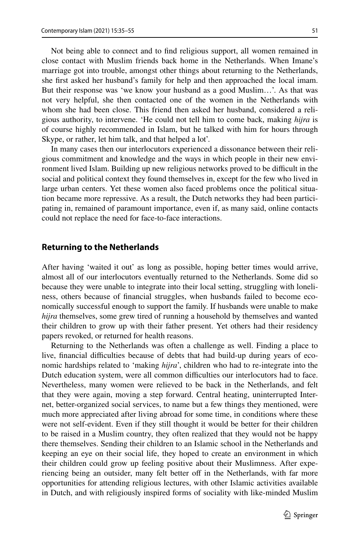Not being able to connect and to fnd religious support, all women remained in close contact with Muslim friends back home in the Netherlands. When Imane's marriage got into trouble, amongst other things about returning to the Netherlands, she frst asked her husband's family for help and then approached the local imam. But their response was 'we know your husband as a good Muslim…'. As that was not very helpful, she then contacted one of the women in the Netherlands with whom she had been close. This friend then asked her husband, considered a religious authority, to intervene. 'He could not tell him to come back, making *hijra* is of course highly recommended in Islam, but he talked with him for hours through Skype, or rather, let him talk, and that helped a lot'.

In many cases then our interlocutors experienced a dissonance between their religious commitment and knowledge and the ways in which people in their new environment lived Islam. Building up new religious networks proved to be difficult in the social and political context they found themselves in, except for the few who lived in large urban centers. Yet these women also faced problems once the political situation became more repressive. As a result, the Dutch networks they had been participating in, remained of paramount importance, even if, as many said, online contacts could not replace the need for face-to-face interactions.

#### **Returning to the Netherlands**

After having 'waited it out' as long as possible, hoping better times would arrive, almost all of our interlocutors eventually returned to the Netherlands. Some did so because they were unable to integrate into their local setting, struggling with loneliness, others because of fnancial struggles, when husbands failed to become economically successful enough to support the family. If husbands were unable to make *hijra* themselves, some grew tired of running a household by themselves and wanted their children to grow up with their father present. Yet others had their residency papers revoked, or returned for health reasons.

Returning to the Netherlands was often a challenge as well. Finding a place to live, financial difficulties because of debts that had build-up during years of economic hardships related to 'making *hijra*', children who had to re-integrate into the Dutch education system, were all common difficulties our interlocutors had to face. Nevertheless, many women were relieved to be back in the Netherlands, and felt that they were again, moving a step forward. Central heating, uninterrupted Internet, better-organized social services, to name but a few things they mentioned, were much more appreciated after living abroad for some time, in conditions where these were not self-evident. Even if they still thought it would be better for their children to be raised in a Muslim country, they often realized that they would not be happy there themselves. Sending their children to an Islamic school in the Netherlands and keeping an eye on their social life, they hoped to create an environment in which their children could grow up feeling positive about their Muslimness. After experiencing being an outsider, many felt better off in the Netherlands, with far more opportunities for attending religious lectures, with other Islamic activities available in Dutch, and with religiously inspired forms of sociality with like-minded Muslim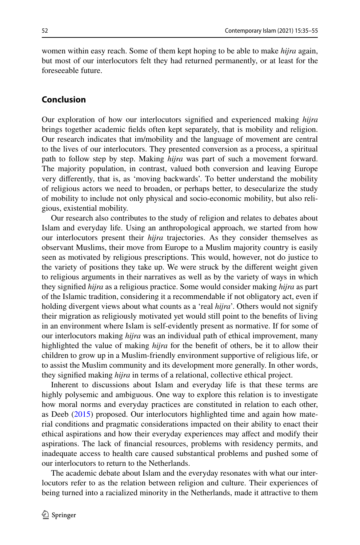women within easy reach. Some of them kept hoping to be able to make *hijra* again, but most of our interlocutors felt they had returned permanently, or at least for the foreseeable future.

#### **Conclusion**

Our exploration of how our interlocutors signifed and experienced making *hijra* brings together academic felds often kept separately, that is mobility and religion. Our research indicates that im/mobility and the language of movement are central to the lives of our interlocutors. They presented conversion as a process, a spiritual path to follow step by step. Making *hijra* was part of such a movement forward. The majority population, in contrast, valued both conversion and leaving Europe very diferently, that is, as 'moving backwards'. To better understand the mobility of religious actors we need to broaden, or perhaps better, to desecularize the study of mobility to include not only physical and socio-economic mobility, but also religious, existential mobility.

Our research also contributes to the study of religion and relates to debates about Islam and everyday life. Using an anthropological approach, we started from how our interlocutors present their *hijra* trajectories. As they consider themselves as observant Muslims, their move from Europe to a Muslim majority country is easily seen as motivated by religious prescriptions. This would, however, not do justice to the variety of positions they take up. We were struck by the diferent weight given to religious arguments in their narratives as well as by the variety of ways in which they signifed *hijra* as a religious practice. Some would consider making *hijra* as part of the Islamic tradition, considering it a recommendable if not obligatory act, even if holding divergent views about what counts as a 'real *hijra*'. Others would not signify their migration as religiously motivated yet would still point to the benefts of living in an environment where Islam is self-evidently present as normative. If for some of our interlocutors making *hijra* was an individual path of ethical improvement, many highlighted the value of making *hijra* for the beneft of others, be it to allow their children to grow up in a Muslim-friendly environment supportive of religious life, or to assist the Muslim community and its development more generally. In other words, they signifed making *hijra* in terms of a relational, collective ethical project.

Inherent to discussions about Islam and everyday life is that these terms are highly polysemic and ambiguous. One way to explore this relation is to investigate how moral norms and everyday practices are constituted in relation to each other, as Deeb ([2015\)](#page-20-16) proposed. Our interlocutors highlighted time and again how material conditions and pragmatic considerations impacted on their ability to enact their ethical aspirations and how their everyday experiences may afect and modify their aspirations. The lack of fnancial resources, problems with residency permits, and inadequate access to health care caused substantical problems and pushed some of our interlocutors to return to the Netherlands.

The academic debate about Islam and the everyday resonates with what our interlocutors refer to as the relation between religion and culture. Their experiences of being turned into a racialized minority in the Netherlands, made it attractive to them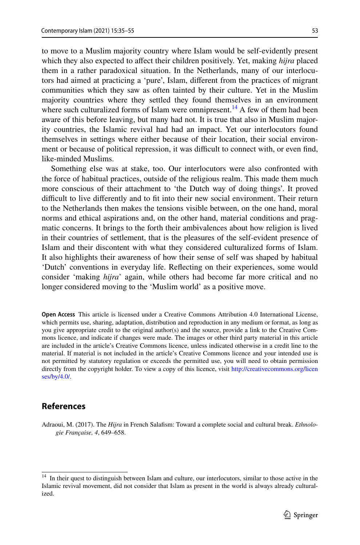to move to a Muslim majority country where Islam would be self-evidently present which they also expected to affect their children positively. Yet, making *hijra* placed them in a rather paradoxical situation. In the Netherlands, many of our interlocutors had aimed at practicing a 'pure', Islam, diferent from the practices of migrant communities which they saw as often tainted by their culture. Yet in the Muslim majority countries where they settled they found themselves in an environment where such culturalized forms of Islam were omnipresent.<sup>14</sup> A few of them had been aware of this before leaving, but many had not. It is true that also in Muslim majority countries, the Islamic revival had had an impact. Yet our interlocutors found themselves in settings where either because of their location, their social environment or because of political repression, it was difficult to connect with, or even find, like-minded Muslims.

Something else was at stake, too. Our interlocutors were also confronted with the force of habitual practices, outside of the religious realm. This made them much more conscious of their attachment to 'the Dutch way of doing things'. It proved difficult to live differently and to fit into their new social environment. Their return to the Netherlands then makes the tensions visible between, on the one hand, moral norms and ethical aspirations and, on the other hand, material conditions and pragmatic concerns. It brings to the forth their ambivalences about how religion is lived in their countries of settlement, that is the pleasures of the self-evident presence of Islam and their discontent with what they considered culturalized forms of Islam. It also highlights their awareness of how their sense of self was shaped by habitual 'Dutch' conventions in everyday life. Refecting on their experiences, some would consider 'making *hijra*' again, while others had become far more critical and no longer considered moving to the 'Muslim world' as a positive move.

**Open Access** This article is licensed under a Creative Commons Attribution 4.0 International License, which permits use, sharing, adaptation, distribution and reproduction in any medium or format, as long as you give appropriate credit to the original author(s) and the source, provide a link to the Creative Commons licence, and indicate if changes were made. The images or other third party material in this article are included in the article's Creative Commons licence, unless indicated otherwise in a credit line to the material. If material is not included in the article's Creative Commons licence and your intended use is not permitted by statutory regulation or exceeds the permitted use, you will need to obtain permission directly from the copyright holder. To view a copy of this licence, visit [http://creativecommons.org/licen](http://creativecommons.org/licenses/by/4.0/) [ses/by/4.0/](http://creativecommons.org/licenses/by/4.0/).

### **References**

<span id="page-19-0"></span>Adraoui, M. (2017). The *Hijra* in French Salafsm: Toward a complete social and cultural break. *Ethnologie Française, 4*, 649–658.

<span id="page-19-1"></span><sup>&</sup>lt;sup>14</sup> In their quest to distinguish between Islam and culture, our interlocutors, similar to those active in the Islamic revival movement, did not consider that Islam as present in the world is always already culturalized.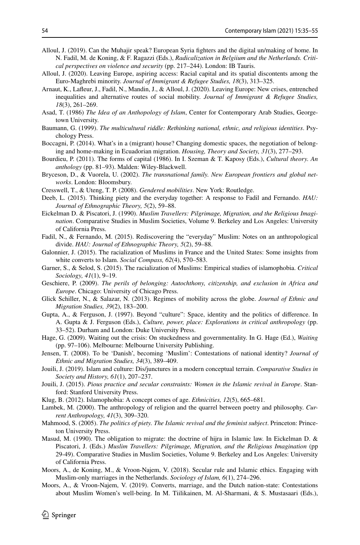- <span id="page-20-0"></span>Alloul, J. (2019). Can the Muhajir speak? European Syria fghters and the digital un/making of home. In N. Fadil, M. de Koning, & F. Ragazzi (Eds.), *Radicalization in Belgiium and the Netherlands. Critical perspectives on violence and security* (pp. 217–244). London: IB Tauris.
- <span id="page-20-1"></span>Alloul, J. (2020). Leaving Europe, aspiring access: Racial capital and its spatial discontents among the Euro-Maghrebi minority. *Journal of Immigrant & Refugee Studies, 18*(3), 313–325.
- <span id="page-20-2"></span>Arnaut, K., Lafeur, J., Fadil, N., Mandin, J., & Alloul, J. (2020). Leaving Europe: New crises, entrenched inequalities and alternative routes of social mobility. *Journal of Immigrant & Refugee Studies, 18*(3), 261–269.
- <span id="page-20-13"></span>Asad, T. (1986) *The Idea of an Anthopology of Islam*, Center for Contemporary Arab Studies, Georgetown University.
- <span id="page-20-21"></span>Baumann, G. (1999). *The multicultural riddle: Rethinking national, ethnic, and religious identities*. Psychology Press.
- <span id="page-20-26"></span>Boccagni, P. (2014). What's in a (migrant) house? Changing domestic spaces, the negotiation of belonging and home-making in Ecuadorian migration. *Housing, Theory and Society, 31*(3), 277–293.
- <span id="page-20-11"></span>Bourdieu, P. (2011). The forms of capital (1986). In I. Szeman & T. Kaposy (Eds.), *Cultural theory. An anthology* (pp. 81–93). Malden: Wiley-Blackwell.
- <span id="page-20-6"></span>Bryceson, D., & Vuorela, U. (2002). *The transnational family. New European frontiers and global networks*. London: Bloomsbury.
- <span id="page-20-7"></span>Cresswell, T., & Uteng, T. P. (2008). *Gendered mobilities*. New York: Routledge.
- <span id="page-20-16"></span>Deeb, L. (2015). Thinking piety and the everyday together: A response to Fadil and Fernando. *HAU: Journal of Ethnographic Theory, 5*(2), 59–88.
- <span id="page-20-9"></span>Eickelman D. & Piscatori, J. (1990). *Muslim Travellers: Pilgrimage, Migration, and the Religious Imagination*. Comparative Studies in Muslim Societies, Volume 9. Berkeley and Los Angeles: University of California Press.
- <span id="page-20-14"></span>Fadil, N., & Fernando, M. (2015). Rediscovering the "everyday" Muslim: Notes on an anthropological divide. *HAU: Journal of Ethnographic Theory, 5*(2), 59–88.
- <span id="page-20-24"></span>Galonnier, J. (2015). The racialization of Muslims in France and the United States: Some insights from white converts to Islam. *Social Compass, 62*(4), 570–583.
- <span id="page-20-17"></span>Garner, S., & Selod, S. (2015). The racialization of Muslims: Empirical studies of islamophobia. *Critical Sociology, 41*(1), 9–19.
- <span id="page-20-22"></span>Geschiere, P. (2009). *The perils of belonging: Autochthony, citizenship, and exclusion in Africa and Europe*. Chicago: University of Chicago Press.
- <span id="page-20-8"></span>Glick Schiller, N., & Salazar, N. (2013). Regimes of mobility across the globe. *Journal of Ethnic and Migration Studies, 39*(2), 183–200.
- <span id="page-20-20"></span>Gupta, A., & Ferguson, J. (1997). Beyond "culture": Space, identity and the politics of diference. In A. Gupta & J. Ferguson (Eds.), *Culture, power, place: Explorations in critical anthropology* (pp. 33–52). Durham and London: Duke University Press.
- <span id="page-20-10"></span>Hage, G. (2009). Waiting out the crisis: On stuckedness and governmentality. In G. Hage (Ed.), *Waiting* (pp. 97–106). Melbourne: Melbourne University Publishing.
- <span id="page-20-25"></span>Jensen, T. (2008). To be 'Danish', becoming 'Muslim': Contestations of national identity? *Journal of Ethnic and Migration Studies, 34*(3), 389–409.
- <span id="page-20-19"></span>Jouili, J. (2019). Islam and culture: Dis/junctures in a modern conceptual terrain. *Comparative Studies in Society and History, 61*(1), 207–237.
- <span id="page-20-15"></span>Jouili, J. (2015). *Pious practice and secular constraints: Women in the Islamic revival in Europe*. Stanford: Stanford University Press.
- <span id="page-20-23"></span>Klug, B. (2012). Islamophobia: A concept comes of age. *Ethnicities, 12*(5), 665–681.
- <span id="page-20-12"></span>Lambek, M. (2000). The anthropology of religion and the quarrel between poetry and philosophy. *Current Anthropology, 41*(3), 309–320.
- <span id="page-20-18"></span>Mahmood, S. (2005). *The politics of piety. The Islamic revival and the feminist subject*. Princeton: Princeton University Press.
- <span id="page-20-3"></span>Masud, M. (1990). The obligation to migrate: the doctrine of hijra in Islamic law. In Eickelman D. & Piscatori, J. (Eds.) *Muslim Travellers: Pilgrimage, Migration, and the Religious Imagination* (pp 29-49). Comparative Studies in Muslim Societies, Volume 9. Berkeley and Los Angeles: University of California Press.
- <span id="page-20-4"></span>Moors, A., de Koning, M., & Vroon-Najem, V. (2018). Secular rule and Islamic ethics. Engaging with Muslim-only marriages in the Netherlands. *Sociology of Islam, 6*(1), 274–296.
- <span id="page-20-5"></span>Moors, A., & Vroon-Najem, V. (2019). Converts, marriage, and the Dutch nation-state: Contestations about Muslim Women's well-being. In M. Tiilikainen, M. Al-Sharmani, & S. Mustasaari (Eds.),